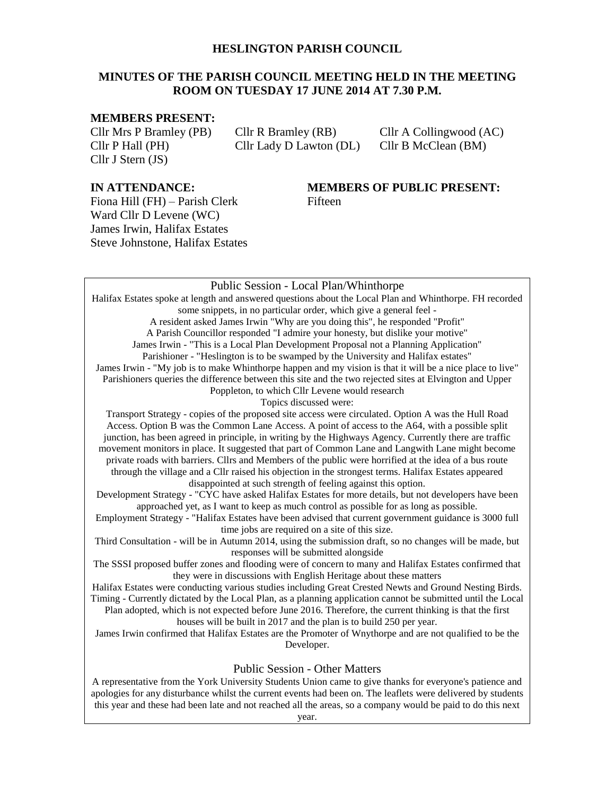#### **HESLINGTON PARISH COUNCIL**

#### **MINUTES OF THE PARISH COUNCIL MEETING HELD IN THE MEETING ROOM ON TUESDAY 17 JUNE 2014 AT 7.30 P.M.**

#### **MEMBERS PRESENT:**

Cllr J Stern (JS)

Cllr P Hall (PH) Cllr Lady D Lawton (DL) Cllr B McClean (BM)

Cllr Mrs P Bramley (PB) Cllr R Bramley (RB) Cllr A Collingwood (AC)

Fiona Hill (FH) – Parish Clerk Fifteen Ward Cllr D Levene (WC) James Irwin, Halifax Estates Steve Johnstone, Halifax Estates

# **IN ATTENDANCE: MEMBERS OF PUBLIC PRESENT:**

#### Public Session - Local Plan/Whinthorpe Halifax Estates spoke at length and answered questions about the Local Plan and Whinthorpe. FH recorded some snippets, in no particular order, which give a general feel - A resident asked James Irwin "Why are you doing this", he responded "Profit" A Parish Councillor responded "I admire your honesty, but dislike your motive" James Irwin - "This is a Local Plan Development Proposal not a Planning Application" Parishioner - "Heslington is to be swamped by the University and Halifax estates" James Irwin - "My job is to make Whinthorpe happen and my vision is that it will be a nice place to live" Parishioners queries the difference between this site and the two rejected sites at Elvington and Upper Poppleton, to which Cllr Levene would research Topics discussed were: Transport Strategy - copies of the proposed site access were circulated. Option A was the Hull Road Access. Option B was the Common Lane Access. A point of access to the A64, with a possible split junction, has been agreed in principle, in writing by the Highways Agency. Currently there are traffic movement monitors in place. It suggested that part of Common Lane and Langwith Lane might become private roads with barriers. Cllrs and Members of the public were horrified at the idea of a bus route through the village and a Cllr raised his objection in the strongest terms. Halifax Estates appeared disappointed at such strength of feeling against this option. Development Strategy - "CYC have asked Halifax Estates for more details, but not developers have been approached yet, as I want to keep as much control as possible for as long as possible. Employment Strategy - "Halifax Estates have been advised that current government guidance is 3000 full time jobs are required on a site of this size. Third Consultation - will be in Autumn 2014, using the submission draft, so no changes will be made, but responses will be submitted alongside The SSSI proposed buffer zones and flooding were of concern to many and Halifax Estates confirmed that they were in discussions with English Heritage about these matters Halifax Estates were conducting various studies including Great Crested Newts and Ground Nesting Birds. Timing - Currently dictated by the Local Plan, as a planning application cannot be submitted until the Local Plan adopted, which is not expected before June 2016. Therefore, the current thinking is that the first houses will be built in 2017 and the plan is to build 250 per year. James Irwin confirmed that Halifax Estates are the Promoter of Wnythorpe and are not qualified to be the Developer. Public Session - Other Matters A representative from the York University Students Union came to give thanks for everyone's patience and

apologies for any disturbance whilst the current events had been on. The leaflets were delivered by students this year and these had been late and not reached all the areas, so a company would be paid to do this next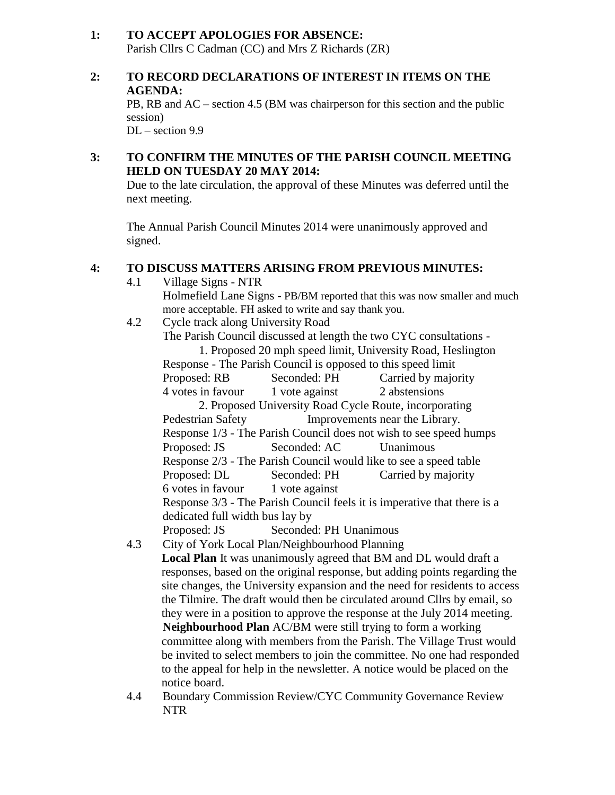#### **1: TO ACCEPT APOLOGIES FOR ABSENCE:** Parish Cllrs C Cadman (CC) and Mrs Z Richards (ZR)

#### **2: TO RECORD DECLARATIONS OF INTEREST IN ITEMS ON THE AGENDA:**

PB, RB and AC – section 4.5 (BM was chairperson for this section and the public session)

DL – section 9.9

## **3: TO CONFIRM THE MINUTES OF THE PARISH COUNCIL MEETING HELD ON TUESDAY 20 MAY 2014:**

Due to the late circulation, the approval of these Minutes was deferred until the next meeting.

The Annual Parish Council Minutes 2014 were unanimously approved and signed.

# **4: TO DISCUSS MATTERS ARISING FROM PREVIOUS MINUTES:**

4.1 Village Signs - NTR Holmefield Lane Signs - PB/BM reported that this was now smaller and much more acceptable. FH asked to write and say thank you. 4.2 Cycle track along University Road The Parish Council discussed at length the two CYC consultations - 1. Proposed 20 mph speed limit, University Road, Heslington Response - The Parish Council is opposed to this speed limit Proposed: RB Seconded: PH Carried by majority 4 votes in favour 1 vote against 2 abstensions 2. Proposed University Road Cycle Route, incorporating Pedestrian Safety **Improvements near the Library.** Response 1/3 - The Parish Council does not wish to see speed humps Proposed: JS Seconded: AC Unanimous Response 2/3 - The Parish Council would like to see a speed table Proposed: DL Seconded: PH Carried by majority 6 votes in favour 1 vote against Response 3/3 - The Parish Council feels it is imperative that there is a dedicated full width bus lay by Proposed: JS Seconded: PH Unanimous 4.3 City of York Local Plan/Neighbourhood Planning **Local Plan** It was unanimously agreed that BM and DL would draft a responses, based on the original response, but adding points regarding the site changes, the University expansion and the need for residents to access the Tilmire. The draft would then be circulated around Cllrs by email, so they were in a position to approve the response at the July 2014 meeting.

**Neighbourhood Plan** AC/BM were still trying to form a working committee along with members from the Parish. The Village Trust would be invited to select members to join the committee. No one had responded to the appeal for help in the newsletter. A notice would be placed on the notice board.

4.4 Boundary Commission Review/CYC Community Governance Review NTR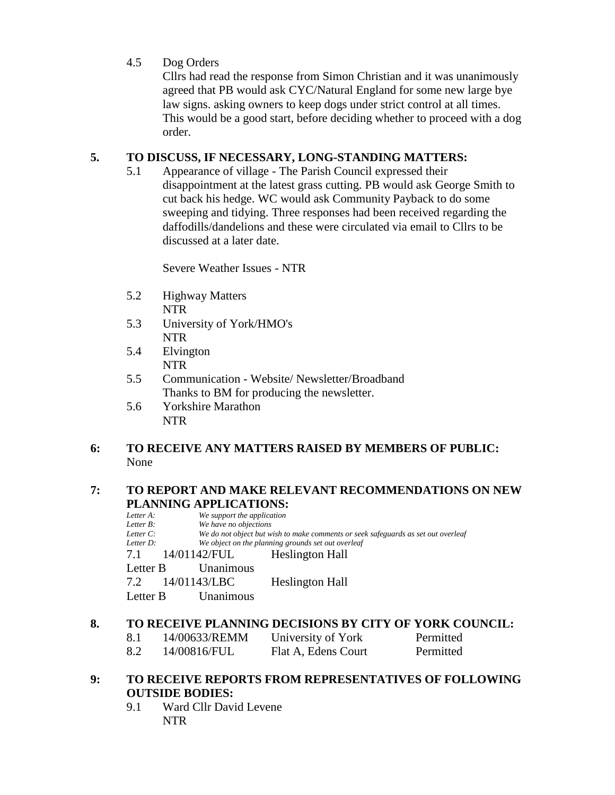## 4.5 Dog Orders

Cllrs had read the response from Simon Christian and it was unanimously agreed that PB would ask CYC/Natural England for some new large bye law signs. asking owners to keep dogs under strict control at all times. This would be a good start, before deciding whether to proceed with a dog order.

#### **5. TO DISCUSS, IF NECESSARY, LONG-STANDING MATTERS:**

5.1 Appearance of village - The Parish Council expressed their disappointment at the latest grass cutting. PB would ask George Smith to cut back his hedge. WC would ask Community Payback to do some sweeping and tidying. Three responses had been received regarding the daffodills/dandelions and these were circulated via email to Cllrs to be discussed at a later date.

Severe Weather Issues - NTR

- 5.2 Highway Matters NTR
- 5.3 University of York/HMO's NTR
- 5.4 Elvington NTR
- 5.5 Communication Website/ Newsletter/Broadband Thanks to BM for producing the newsletter.
- 5.6 Yorkshire Marathon NTR

#### **6: TO RECEIVE ANY MATTERS RAISED BY MEMBERS OF PUBLIC:** None

#### **7: TO REPORT AND MAKE RELEVANT RECOMMENDATIONS ON NEW PLANNING APPLICATIONS:**

| Letter A: | We support the application |                                                                                   |
|-----------|----------------------------|-----------------------------------------------------------------------------------|
| Letter B: | We have no objections      |                                                                                   |
| Letter C: |                            | We do not object but wish to make comments or seek safeguards as set out overleaf |
| Letter D: |                            | We object on the planning grounds set out overleaf                                |
| 7.1       | 14/01142/FUL               | Heslington Hall                                                                   |
| Letter B  | Unanimous                  |                                                                                   |
|           | 7.2 14/01143/LBC           | <b>Heslington Hall</b>                                                            |
| Letter B  | Unanimous                  |                                                                                   |
|           |                            |                                                                                   |

## **8. TO RECEIVE PLANNING DECISIONS BY CITY OF YORK COUNCIL:**

| 8.1 | 14/00633/REMM | University of York  | Permitted |
|-----|---------------|---------------------|-----------|
| 8.2 | 14/00816/FUL  | Flat A, Edens Court | Permitted |

#### **9: TO RECEIVE REPORTS FROM REPRESENTATIVES OF FOLLOWING OUTSIDE BODIES:**

9.1 Ward Cllr David Levene NTR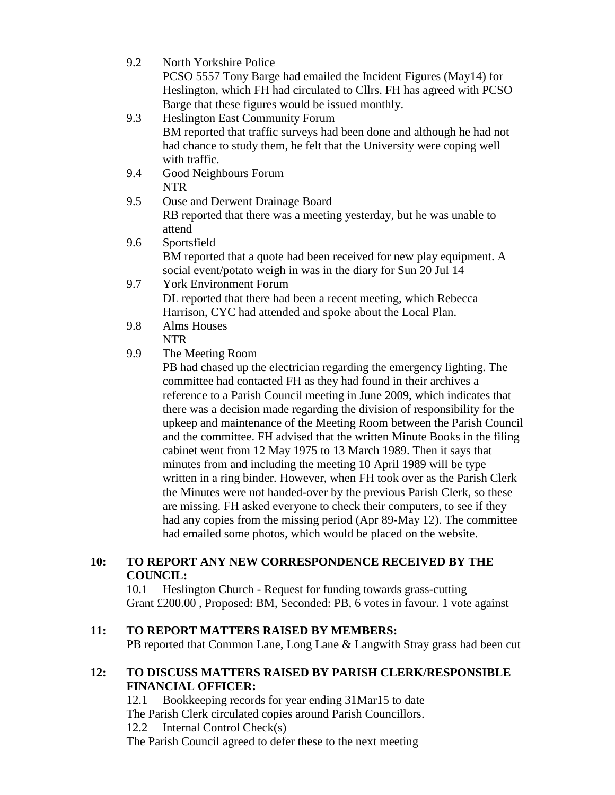| 9.2 | North Yorkshire Police                                                     |
|-----|----------------------------------------------------------------------------|
|     | PCSO 5557 Tony Barge had emailed the Incident Figures (May14) for          |
|     | Heslington, which FH had circulated to Cllrs. FH has agreed with PCSO      |
|     | Barge that these figures would be issued monthly.                          |
| 9.3 | <b>Heslington East Community Forum</b>                                     |
|     | BM reported that traffic surveys had been done and although he had not     |
|     | had chance to study them, he felt that the University were coping well     |
|     | with traffic.                                                              |
| 9.4 | Good Neighbours Forum                                                      |
|     | <b>NTR</b>                                                                 |
| 9.5 | Ouse and Derwent Drainage Board                                            |
|     | RB reported that there was a meeting yesterday, but he was unable to       |
|     | attend                                                                     |
| 9.6 | Sportsfield                                                                |
|     | BM reported that a quote had been received for new play equipment. A       |
|     | social event/potato weigh in was in the diary for Sun 20 Jul 14            |
| 9.7 | <b>York Environment Forum</b>                                              |
|     | DL reported that there had been a recent meeting, which Rebecca            |
|     | Harrison, CYC had attended and spoke about the Local Plan.                 |
| 9.8 | Alms Houses                                                                |
|     | <b>NTR</b>                                                                 |
| 9.9 | The Meeting Room                                                           |
|     | PB had chased up the electrician regarding the emergency lighting. The     |
|     | committee had contacted FH as they had found in their archives a           |
|     | reference to a Parish Council meeting in June 2009, which indicates that   |
|     | there was a decision made regarding the division of responsibility for the |

there was a decision made regarding the division of responsibility for the upkeep and maintenance of the Meeting Room between the Parish Council and the committee. FH advised that the written Minute Books in the filing cabinet went from 12 May 1975 to 13 March 1989. Then it says that minutes from and including the meeting 10 April 1989 will be type written in a ring binder. However, when FH took over as the Parish Clerk the Minutes were not handed-over by the previous Parish Clerk, so these are missing. FH asked everyone to check their computers, to see if they had any copies from the missing period (Apr 89-May 12). The committee had emailed some photos, which would be placed on the website.

## **10: TO REPORT ANY NEW CORRESPONDENCE RECEIVED BY THE COUNCIL:**

10.1 Heslington Church - Request for funding towards grass-cutting Grant £200.00 , Proposed: BM, Seconded: PB, 6 votes in favour. 1 vote against

## **11: TO REPORT MATTERS RAISED BY MEMBERS:**

PB reported that Common Lane, Long Lane & Langwith Stray grass had been cut

#### **12: TO DISCUSS MATTERS RAISED BY PARISH CLERK/RESPONSIBLE FINANCIAL OFFICER:**

12.1 Bookkeeping records for year ending 31Mar15 to date The Parish Clerk circulated copies around Parish Councillors. 12.2 Internal Control Check(s) The Parish Council agreed to defer these to the next meeting